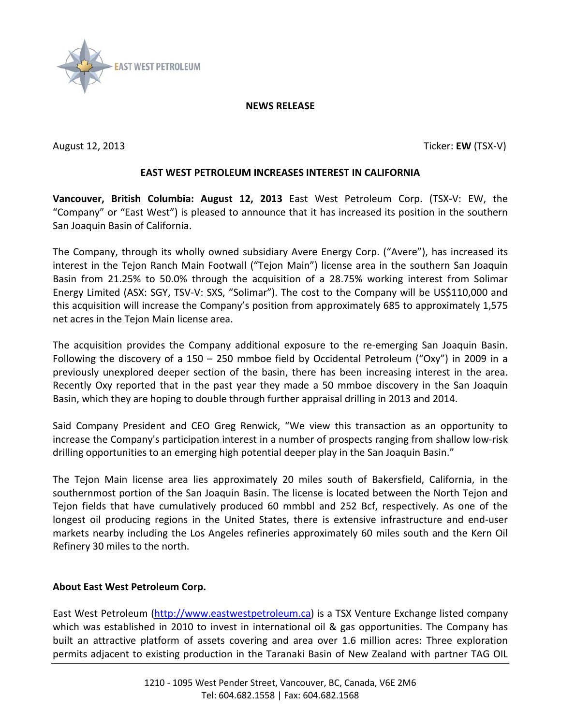

## **NEWS RELEASE**

August 12, 2013 Ticker: **EW** (TSX-V)

## **EAST WEST PETROLEUM INCREASES INTEREST IN CALIFORNIA**

**Vancouver, British Columbia: August 12, 2013** East West Petroleum Corp. (TSX-V: EW, the "Company" or "East West") is pleased to announce that it has increased its position in the southern San Joaquin Basin of California.

The Company, through its wholly owned subsidiary Avere Energy Corp. ("Avere"), has increased its interest in the Tejon Ranch Main Footwall ("Tejon Main") license area in the southern San Joaquin Basin from 21.25% to 50.0% through the acquisition of a 28.75% working interest from Solimar Energy Limited (ASX: SGY, TSV-V: SXS, "Solimar"). The cost to the Company will be US\$110,000 and this acquisition will increase the Company's position from approximately 685 to approximately 1,575 net acres in the Tejon Main license area.

The acquisition provides the Company additional exposure to the re-emerging San Joaquin Basin. Following the discovery of a 150 – 250 mmboe field by Occidental Petroleum ("Oxy") in 2009 in a previously unexplored deeper section of the basin, there has been increasing interest in the area. Recently Oxy reported that in the past year they made a 50 mmboe discovery in the San Joaquin Basin, which they are hoping to double through further appraisal drilling in 2013 and 2014.

Said Company President and CEO Greg Renwick, "We view this transaction as an opportunity to increase the Company's participation interest in a number of prospects ranging from shallow low-risk drilling opportunities to an emerging high potential deeper play in the San Joaquin Basin."

The Tejon Main license area lies approximately 20 miles south of Bakersfield, California, in the southernmost portion of the San Joaquin Basin. The license is located between the North Tejon and Tejon fields that have cumulatively produced 60 mmbbl and 252 Bcf, respectively. As one of the longest oil producing regions in the United States, there is extensive infrastructure and end-user markets nearby including the Los Angeles refineries approximately 60 miles south and the Kern Oil Refinery 30 miles to the north.

## **About East West Petroleum Corp.**

East West Petroleum [\(http://www.eastwestpetroleum.ca\)](http://www.eastwestpetroleum.ca/) is a TSX Venture Exchange listed company which was established in 2010 to invest in international oil & gas opportunities. The Company has built an attractive platform of assets covering and area over 1.6 million acres: Three exploration permits adjacent to existing production in the Taranaki Basin of New Zealand with partner TAG OIL